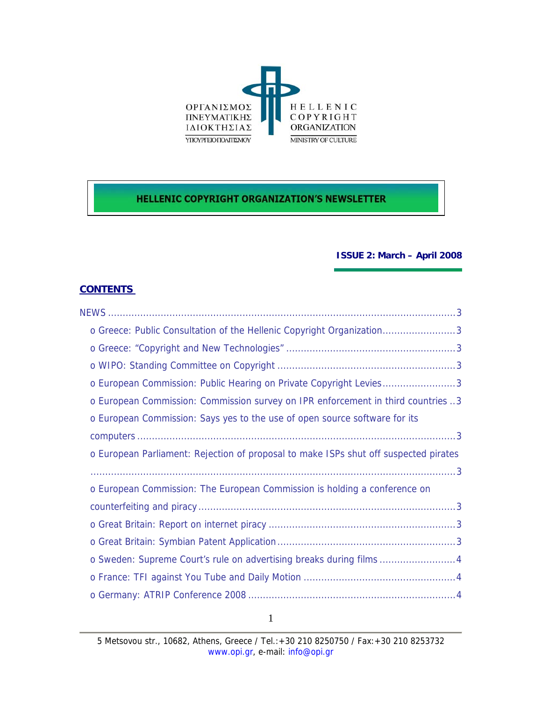

# **HELLENIC COPYRIGHT ORGANIZATION'S NEWSLETTER**

#### **ISSUE 2: March – April 2008**

# **CONTENTS**

|  | o Greece: Public Consultation of the Hellenic Copyright Organization3                |  |
|--|--------------------------------------------------------------------------------------|--|
|  |                                                                                      |  |
|  |                                                                                      |  |
|  | o European Commission: Public Hearing on Private Copyright Levies3                   |  |
|  | o European Commission: Commission survey on IPR enforcement in third countries 3     |  |
|  | o European Commission: Says yes to the use of open source software for its           |  |
|  |                                                                                      |  |
|  | o European Parliament: Rejection of proposal to make ISPs shut off suspected pirates |  |
|  |                                                                                      |  |
|  | o European Commission: The European Commission is holding a conference on            |  |
|  |                                                                                      |  |
|  |                                                                                      |  |
|  |                                                                                      |  |
|  | o Sweden: Supreme Court's rule on advertising breaks during films 4                  |  |
|  |                                                                                      |  |
|  |                                                                                      |  |
|  |                                                                                      |  |

1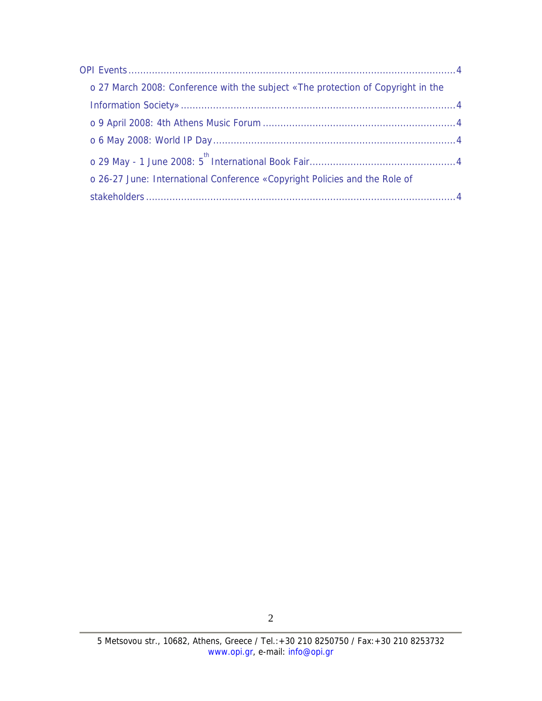| o 27 March 2008: Conference with the subject «The protection of Copyright in the |  |
|----------------------------------------------------------------------------------|--|
|                                                                                  |  |
|                                                                                  |  |
|                                                                                  |  |
|                                                                                  |  |
| o 26-27 June: International Conference «Copyright Policies and the Role of       |  |
|                                                                                  |  |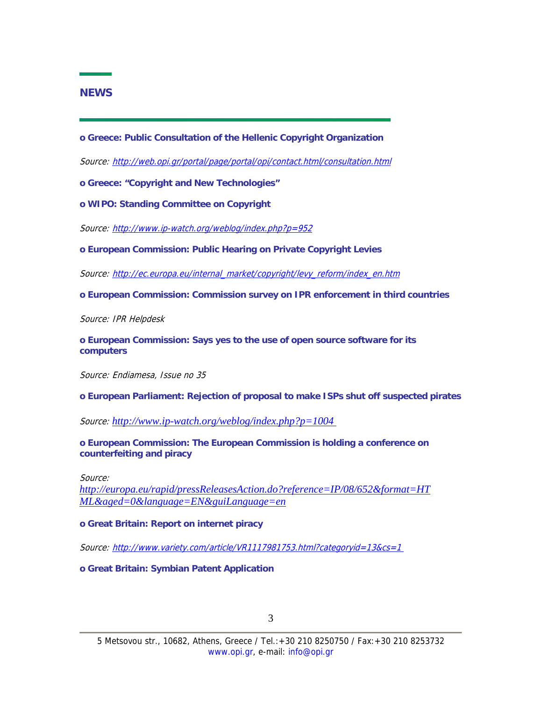## <span id="page-2-0"></span>**NEWS**

**o Greece: Public Consultation of the Hellenic Copyright Organization** 

Source: http://web.opi.gr/portal/page/portal/opi/contact.html/consultation.html

**o Greece: "Copyright and New Technologies"** 

**o WIPO: Standing Committee on Copyright** 

Source: http://www.ip-watch.org/weblog/index.php?p=952

**o European Commission: Public Hearing on Private Copyright Levies** 

Source: http://ec.europa.eu/internal\_market/copyright/levy\_reform/index\_en.htm

**o European Commission: Commission survey on IPR enforcement in third countries** 

Source: IPR Helpdesk

**o European Commission: Says yes to the use of open source software for its computers** 

Source: Endiamesa, Issue no 35

**o European Parliament: Rejection of proposal to make ISPs shut off suspected pirates** 

Source: *http://www.ip-watch.org/weblog/index.php?p=1004* 

**o European Commission: The European Commission is holding a conference on counterfeiting and piracy** 

Source:

*http://europa.eu/rapid/pressReleasesAction.do?reference=IP/08/652&format=HT ML&aged=0&language=EN&guiLanguage=en*

**o Great Britain: Report on internet piracy** 

Source: http://www.variety.com/article/VR1117981753.html?categoryid=13&cs=1

**o Great Britain: Symbian Patent Application**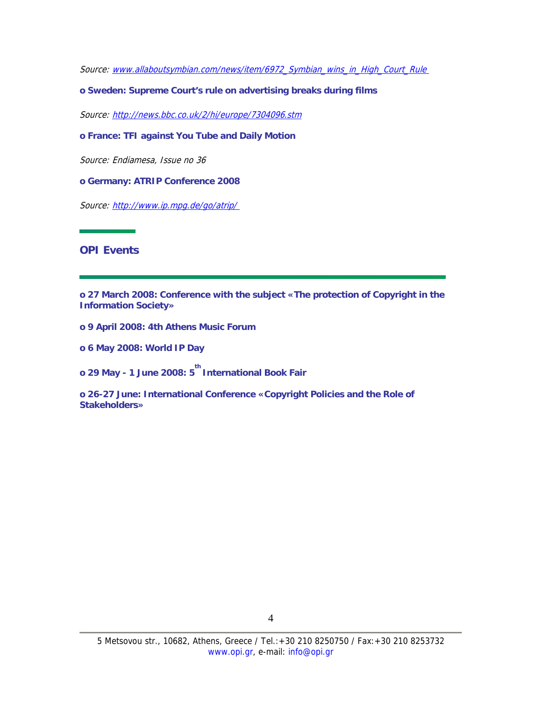<span id="page-3-0"></span>Source: www.allaboutsymbian.com/news/item/6972 Symbian\_wins\_in\_High\_Court\_Rule

**o Sweden: Supreme Court's rule on advertising breaks during films** 

Source: http://news.bbc.co.uk/2/hi/europe/7304096.stm

**o France: TFI against You Tube and Daily Motion** 

Source: Endiamesa, Issue no 36

**o Germany: ATRIP Conference 2008** 

Source: http://www.ip.mpg.de/go/atrip/

## **OPI Events**

**o 27 March 2008: Conference with the subject «The protection of Copyright in the Information Society»** 

- **o 9 April 2008: 4th Athens Music Forum**
- **o 6 May 2008: World IP Day**

**o 29 May - 1 June 2008: 5 th International Book Fair** 

**o 26-27 June: International Conference «Copyright Policies and the Role of Stakeholders»**